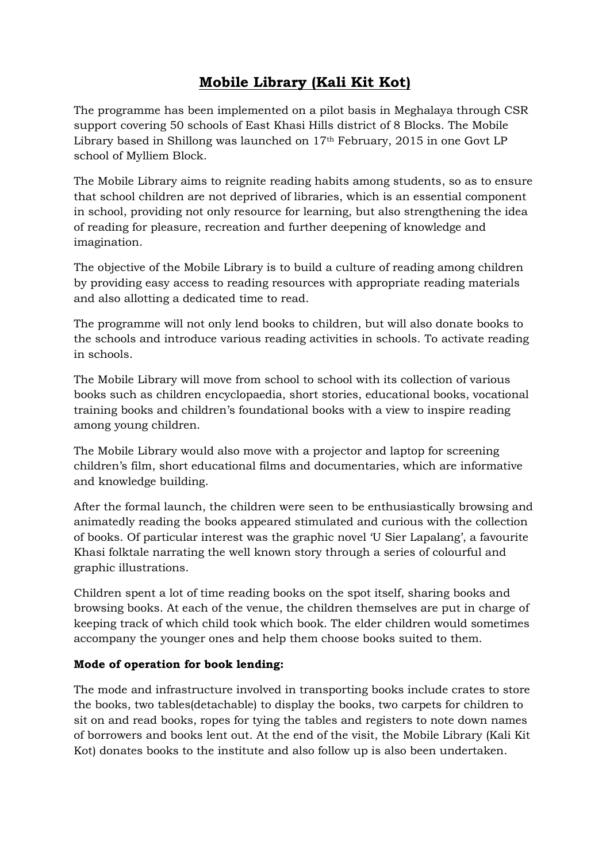## **Mobile Library (Kali Kit Kot)**

The programme has been implemented on a pilot basis in Meghalaya through CSR support covering 50 schools of East Khasi Hills district of 8 Blocks. The Mobile Library based in Shillong was launched on 17th February, 2015 in one Govt LP school of Mylliem Block.

The Mobile Library aims to reignite reading habits among students, so as to ensure that school children are not deprived of libraries, which is an essential component in school, providing not only resource for learning, but also strengthening the idea of reading for pleasure, recreation and further deepening of knowledge and imagination.

The objective of the Mobile Library is to build a culture of reading among children by providing easy access to reading resources with appropriate reading materials and also allotting a dedicated time to read.

The programme will not only lend books to children, but will also donate books to the schools and introduce various reading activities in schools. To activate reading in schools.

The Mobile Library will move from school to school with its collection of various books such as children encyclopaedia, short stories, educational books, vocational training books and children's foundational books with a view to inspire reading among young children.

The Mobile Library would also move with a projector and laptop for screening children's film, short educational films and documentaries, which are informative and knowledge building.

After the formal launch, the children were seen to be enthusiastically browsing and animatedly reading the books appeared stimulated and curious with the collection of books. Of particular interest was the graphic novel 'U Sier Lapalang', a favourite Khasi folktale narrating the well known story through a series of colourful and graphic illustrations.

Children spent a lot of time reading books on the spot itself, sharing books and browsing books. At each of the venue, the children themselves are put in charge of keeping track of which child took which book. The elder children would sometimes accompany the younger ones and help them choose books suited to them.

## **Mode of operation for book lending:**

The mode and infrastructure involved in transporting books include crates to store the books, two tables(detachable) to display the books, two carpets for children to sit on and read books, ropes for tying the tables and registers to note down names of borrowers and books lent out. At the end of the visit, the Mobile Library (Kali Kit Kot) donates books to the institute and also follow up is also been undertaken.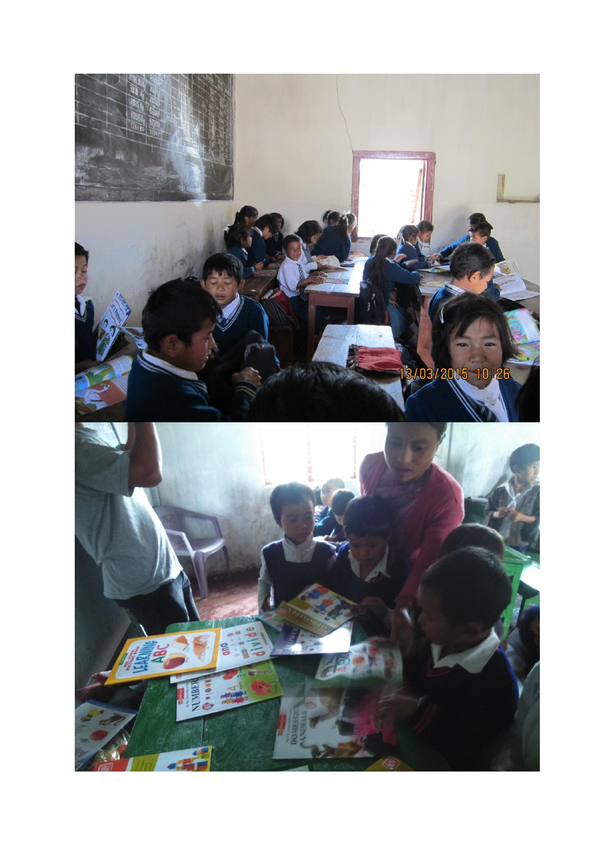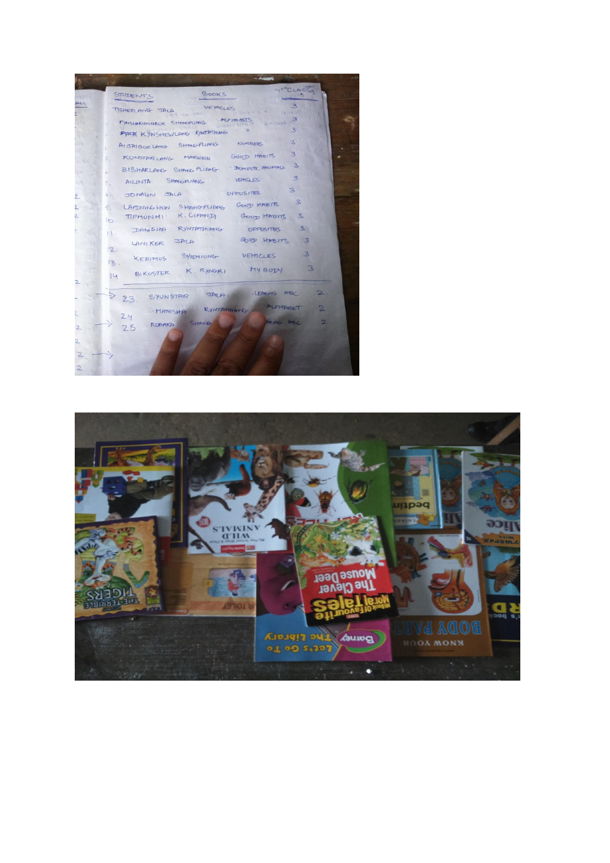°CLA BOOKS STUDENTS VEHICLES SS  $\overline{\mathbf{3}}$ TISHERLANG JALA PYNSHAGEMINEOR SHEMMANING ALPHENSETS  $\mathbf{B}$  $\sim$   $\mu$  $\overline{3}$ **PYFIK KYNSHEWLANG RYNOATHIANG**  $\overline{3}$ AI JAIBOR LANG SHANGPUANG KIUMBERS  $\overline{\mathbf{3}}$ GOOD HABITS KONSTARLANG MARWEIN DOMESTIC ANIMALS  $\overline{\mathbf{3}}$ BISHARLANG SHANG PLIANG  $\overline{\mathbf{z}}$ AILINTA SHANGPUANG VEHICLES  $\mathbf{3}$ OPPOSITES JONALIN JALA  $\delta$  . 9. LAMONANGHON SHANGFUANG GOOD HABITS 3 10. TIPMONMI. K. CHANDI GOOD HABITS 3 DANISHA RYNTATHIANG OPPOSITIES  $3$  $\overline{11}$ LANIKER JALA GOD HABITS 3  $\overline{2}$ 13. KERIMOS SYLEMIONG  $\overline{\mathbf{3}}$ VEHICLES 14 BIKOSTER K. RYNGKI  $\overline{\phantom{a}3}$ MY BODY  $\frac{1}{2}$  23. JALA. LEARING ARC  $\overline{\phantom{a}}$ SYUNSTAR RYNTATHANG ALPHARET  $\overline{2}$ 24 MANISHA  $\overline{2}$ ROBAKA 25  $\overline{2}$